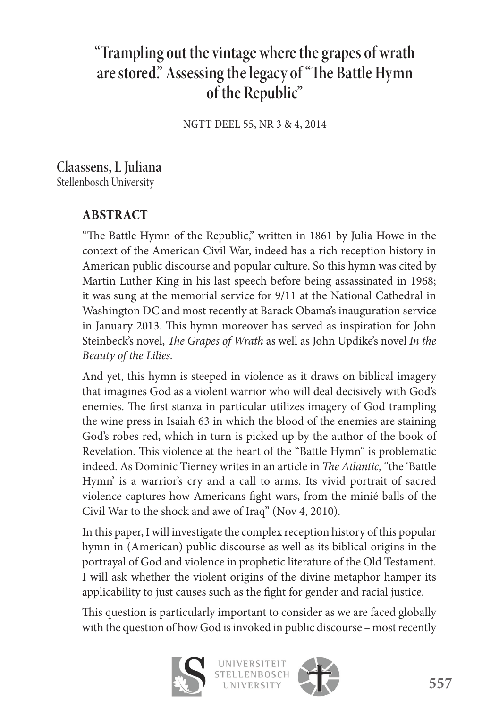# **"Trampling out the vintage where the grapes of wrath**  are stored." Assessing the legacy of "The Battle Hymn **of the Republic"**

NGTT DEEL 55, NR 3 & 4, 2014

### **Claassens, L Juliana**  Stellenbosch University

# **ABSTRACT**

"The Battle Hymn of the Republic," written in 1861 by Julia Howe in the context of the American Civil War, indeed has a rich reception history in American public discourse and popular culture. So this hymn was cited by Martin Luther King in his last speech before being assassinated in 1968; it was sung at the memorial service for 9/11 at the National Cathedral in Washington DC and most recently at Barack Obama's inauguration service in January 2013. This hymn moreover has served as inspiration for John Steinbeck's novel, *The Grapes of Wrath* as well as John Updike's novel In the *Beauty of the Lilies.*

And yet, this hymn is steeped in violence as it draws on biblical imagery that imagines God as a violent warrior who will deal decisively with God's enemies. The first stanza in particular utilizes imagery of God trampling the wine press in Isaiah 63 in which the blood of the enemies are staining God's robes red, which in turn is picked up by the author of the book of Revelation. This violence at the heart of the "Battle Hymn" is problematic indeed. As Dominic Tierney writes in an article in *The Atlantic*, "the 'Battle Hymn' is a warrior's cry and a call to arms. Its vivid portrait of sacred violence captures how Americans fight wars, from the minié balls of the Civil War to the shock and awe of Iraq" (Nov 4, 2010).

In this paper, I will investigate the complex reception history of this popular hymn in (American) public discourse as well as its biblical origins in the portrayal of God and violence in prophetic literature of the Old Testament. I will ask whether the violent origins of the divine metaphor hamper its applicability to just causes such as the fight for gender and racial justice.

This question is particularly important to consider as we are faced globally with the question of how God is invoked in public discourse – most recently



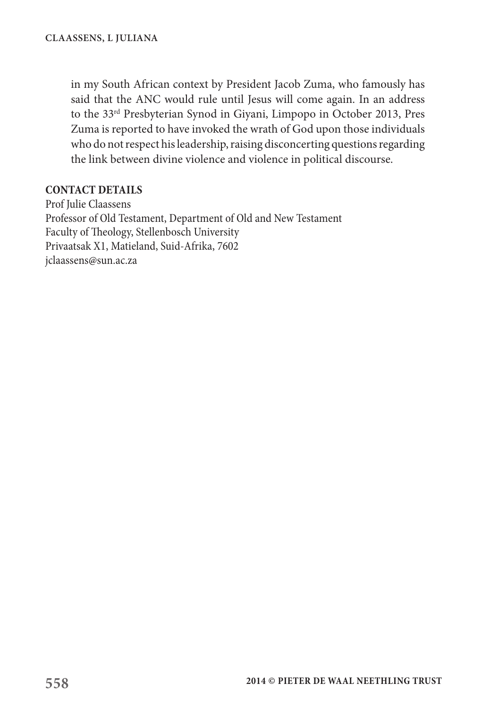in my South African context by President Jacob Zuma, who famously has said that the ANC would rule until Jesus will come again. In an address to the 33rd Presbyterian Synod in Giyani, Limpopo in October 2013, Pres Zuma is reported to have invoked the wrath of God upon those individuals who do not respect his leadership, raising disconcerting questions regarding the link between divine violence and violence in political discourse.

#### **CONTACT DETAILS**

Prof Julie Claassens Professor of Old Testament, Department of Old and New Testament Faculty of Theology, Stellenbosch University Privaatsak X1, Matieland, Suid-Afrika, 7602 jclaassens@sun.ac.za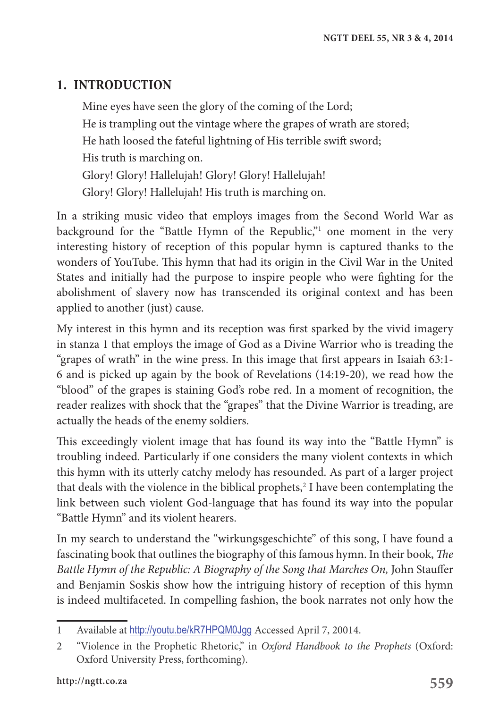# **1. INTRODUCTION**

Mine eyes have seen the glory of the coming of the Lord; He is trampling out the vintage where the grapes of wrath are stored; He hath loosed the fateful lightning of His terrible swift sword; His truth is marching on. Glory! Glory! Hallelujah! Glory! Glory! Hallelujah! Glory! Glory! Hallelujah! His truth is marching on.

In a striking music video that employs images from the Second World War as background for the "Battle Hymn of the Republic,"<sup>1</sup> one moment in the very interesting history of reception of this popular hymn is captured thanks to the wonders of YouTube. This hymn that had its origin in the Civil War in the United States and initially had the purpose to inspire people who were fighting for the abolishment of slavery now has transcended its original context and has been applied to another (just) cause.

My interest in this hymn and its reception was first sparked by the vivid imagery in stanza 1 that employs the image of God as a Divine Warrior who is treading the "grapes of wrath" in the wine press. In this image that first appears in Isaiah 63:1- 6 and is picked up again by the book of Revelations (14:19-20), we read how the "blood" of the grapes is staining God's robe red. In a moment of recognition, the reader realizes with shock that the "grapes" that the Divine Warrior is treading, are actually the heads of the enemy soldiers.

This exceedingly violent image that has found its way into the "Battle Hymn" is troubling indeed. Particularly if one considers the many violent contexts in which this hymn with its utterly catchy melody has resounded. As part of a larger project that deals with the violence in the biblical prophets,<sup>2</sup> I have been contemplating the link between such violent God-language that has found its way into the popular "Battle Hymn" and its violent hearers.

In my search to understand the "wirkungsgeschichte" of this song, I have found a fascinating book that outlines the biography of this famous hymn. In their book, *The Battle Hymn of the Republic: A Biography of the Song that Marches On,* John Stauffer and Benjamin Soskis show how the intriguing history of reception of this hymn is indeed multifaceted. In compelling fashion, the book narrates not only how the

<sup>1</sup> Available at http://youtu.be/kR7HPQM0Jgg Accessed April 7, 20014.

<sup>2</sup> "Violence in the Prophetic Rhetoric," in *Oxford Handbook to the Prophets* (Oxford: Oxford University Press, forthcoming).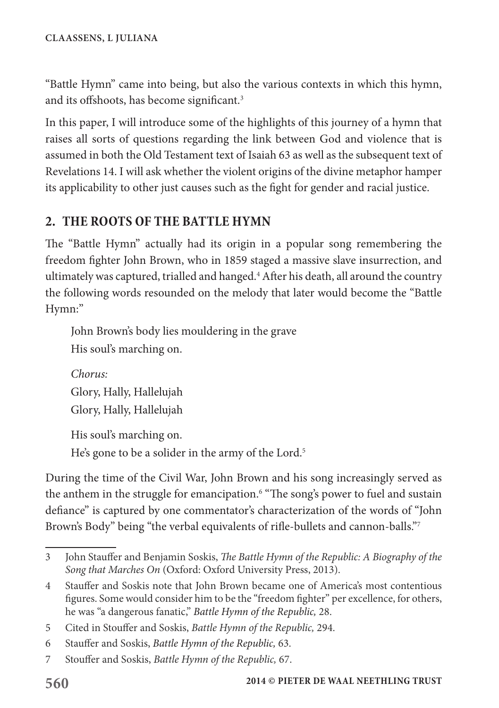"Battle Hymn" came into being, but also the various contexts in which this hymn, and its offshoots, has become significant.<sup>3</sup>

In this paper, I will introduce some of the highlights of this journey of a hymn that raises all sorts of questions regarding the link between God and violence that is assumed in both the Old Testament text of Isaiah 63 as well as the subsequent text of Revelations 14. I will ask whether the violent origins of the divine metaphor hamper its applicability to other just causes such as the fight for gender and racial justice.

# **2. THE ROOTS OF THE BATTLE HYMN**

The "Battle Hymn" actually had its origin in a popular song remembering the freedom fighter John Brown, who in 1859 staged a massive slave insurrection, and ultimately was captured, trialled and hanged.4 After his death, all around the country the following words resounded on the melody that later would become the "Battle Hymn:"

John Brown's body lies mouldering in the grave His soul's marching on.

```
Chorus:
Glory, Hally, Hallelujah
Glory, Hally, Hallelujah
```
His soul's marching on. He's gone to be a solider in the army of the Lord.<sup>5</sup>

During the time of the Civil War, John Brown and his song increasingly served as the anthem in the struggle for emancipation.<sup>6</sup> "The song's power to fuel and sustain defiance" is captured by one commentator's characterization of the words of "John Brown's Body" being "the verbal equivalents of rifle-bullets and cannon-balls."7

<sup>3</sup> John Stauffer and Benjamin Soskis, *The Battle Hymn of the Republic: A Biography of the Song that Marches On* (Oxford: Oxford University Press, 2013).

<sup>4</sup> Stauffer and Soskis note that John Brown became one of America's most contentious figures. Some would consider him to be the "freedom fighter" per excellence, for others, he was "a dangerous fanatic," *Battle Hymn of the Republic,* 28.

<sup>5</sup> Cited in Stouffer and Soskis, *Battle Hymn of the Republic,* 294.

<sup>6</sup> Stauffer and Soskis, *Battle Hymn of the Republic,* 63.

<sup>7</sup> Stouffer and Soskis, *Battle Hymn of the Republic,* 67.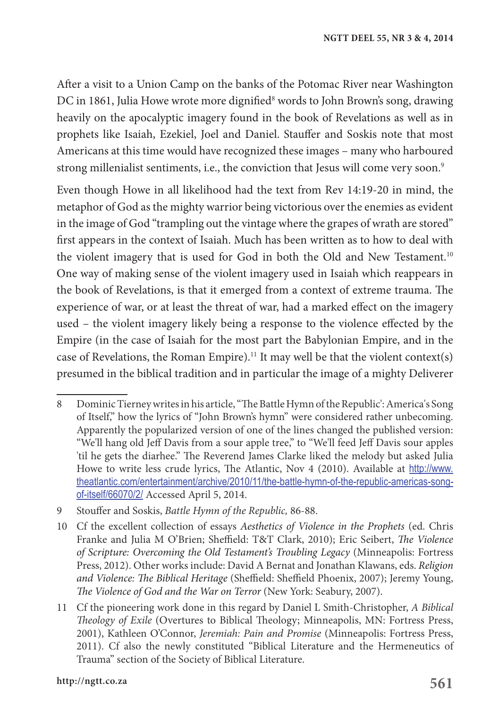After a visit to a Union Camp on the banks of the Potomac River near Washington DC in 1861, Julia Howe wrote more dignified<sup>8</sup> words to John Brown's song, drawing heavily on the apocalyptic imagery found in the book of Revelations as well as in prophets like Isaiah, Ezekiel, Joel and Daniel. Stauffer and Soskis note that most Americans at this time would have recognized these images – many who harboured strong millenialist sentiments, i.e., the conviction that Jesus will come very soon.<sup>9</sup>

Even though Howe in all likelihood had the text from Rev 14:19-20 in mind, the metaphor of God as the mighty warrior being victorious over the enemies as evident in the image of God "trampling out the vintage where the grapes of wrath are stored" first appears in the context of Isaiah. Much has been written as to how to deal with the violent imagery that is used for God in both the Old and New Testament.<sup>10</sup> One way of making sense of the violent imagery used in Isaiah which reappears in the book of Revelations, is that it emerged from a context of extreme trauma. The experience of war, or at least the threat of war, had a marked effect on the imagery used – the violent imagery likely being a response to the violence effected by the Empire (in the case of Isaiah for the most part the Babylonian Empire, and in the case of Revelations, the Roman Empire).<sup>11</sup> It may well be that the violent context(s) presumed in the biblical tradition and in particular the image of a mighty Deliverer

<sup>8</sup> Dominic Tierney writes in his article, "The Battle Hymn of the Republic': America's Song of Itself," how the lyrics of "John Brown's hymn" were considered rather unbecoming. Apparently the popularized version of one of the lines changed the published version: "We'll hang old Jeff Davis from a sour apple tree," to "We'll feed Jeff Davis sour apples 'til he gets the diarhee." The Reverend James Clarke liked the melody but asked Julia Howe to write less crude lyrics, The Atlantic, Nov 4 (2010). Available at http://www. theatlantic.com/entertainment/archive/2010/11/the-battle-hymn-of-the-republic-americas-songof-itself/66070/2/ Accessed April 5, 2014.

<sup>9</sup> Stouffer and Soskis, *Battle Hymn of the Republic,* 86-88.

<sup>10</sup> Cf the excellent collection of essays *Aesthetics of Violence in the Prophets* (ed. Chris Franke and Julia M O'Brien; Sheffield: T&T Clark, 2010); Eric Seibert, *The Violence of Scripture: Overcoming the Old Testament's Troubling Legacy* (Minneapolis: Fortress Press, 2012). Other works include: David A Bernat and Jonathan Klawans, eds. *Religion and Violence: The Biblical Heritage* (Sheffield: Sheffield Phoenix, 2007); Jeremy Young, *The Violence of God and the War on Terror* (New York: Seabury, 2007).

<sup>11</sup> Cf the pioneering work done in this regard by Daniel L Smith-Christopher, *A Biblical Theology of Exile* (Overtures to Biblical Theology; Minneapolis, MN: Fortress Press, 2001), Kathleen O'Connor, *Jeremiah: Pain and Promise* (Minneapolis: Fortress Press, 2011). Cf also the newly constituted "Biblical Literature and the Hermeneutics of Trauma" section of the Society of Biblical Literature.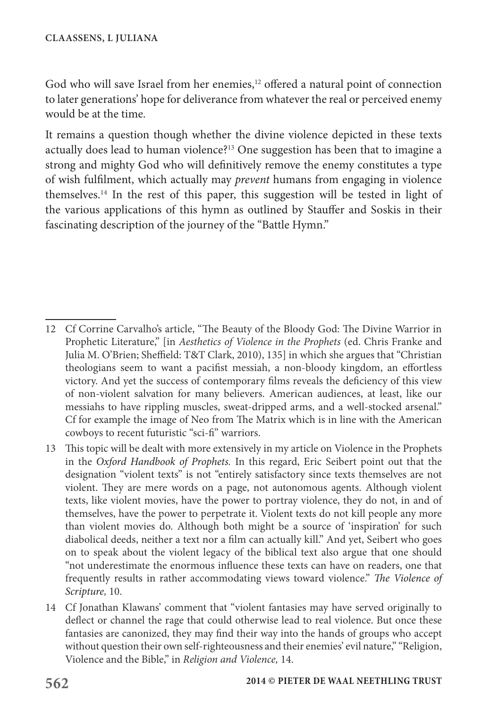God who will save Israel from her enemies,<sup>12</sup> offered a natural point of connection to later generations' hope for deliverance from whatever the real or perceived enemy would be at the time.

It remains a question though whether the divine violence depicted in these texts actually does lead to human violence?13 One suggestion has been that to imagine a strong and mighty God who will definitively remove the enemy constitutes a type of wish fulfilment, which actually may *prevent* humans from engaging in violence themselves.14 In the rest of this paper, this suggestion will be tested in light of the various applications of this hymn as outlined by Stauffer and Soskis in their fascinating description of the journey of the "Battle Hymn."

<sup>12</sup> Cf Corrine Carvalho's article, "The Beauty of the Bloody God: The Divine Warrior in Prophetic Literature," [in *Aesthetics of Violence in the Prophets* (ed. Chris Franke and Julia M. O'Brien; Sheffield: T&T Clark, 2010), 135] in which she argues that "Christian theologians seem to want a pacifist messiah, a non-bloody kingdom, an effortless victory. And yet the success of contemporary films reveals the deficiency of this view of non-violent salvation for many believers. American audiences, at least, like our messiahs to have rippling muscles, sweat-dripped arms, and a well-stocked arsenal." Cf for example the image of Neo from The Matrix which is in line with the American cowboys to recent futuristic "sci-fi" warriors.

<sup>13</sup> This topic will be dealt with more extensively in my article on Violence in the Prophets in the *Oxford Handbook of Prophets.* In this regard, Eric Seibert point out that the designation "violent texts" is not "entirely satisfactory since texts themselves are not violent. They are mere words on a page, not autonomous agents. Although violent texts, like violent movies, have the power to portray violence, they do not, in and of themselves, have the power to perpetrate it. Violent texts do not kill people any more than violent movies do. Although both might be a source of 'inspiration' for such diabolical deeds, neither a text nor a film can actually kill." And yet, Seibert who goes on to speak about the violent legacy of the biblical text also argue that one should "not underestimate the enormous influence these texts can have on readers, one that frequently results in rather accommodating views toward violence." *The Violence of Scripture,* 10.

<sup>14</sup> Cf Jonathan Klawans' comment that "violent fantasies may have served originally to deflect or channel the rage that could otherwise lead to real violence. But once these fantasies are canonized, they may find their way into the hands of groups who accept without question their own self-righteousness and their enemies' evil nature," "Religion, Violence and the Bible," in *Religion and Violence,* 14.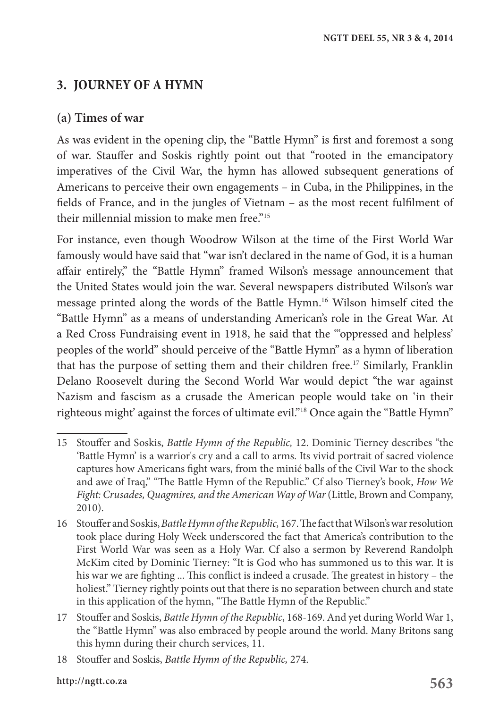# **3. JOURNEY OF A HYMN**

#### **(a) Times of war**

As was evident in the opening clip, the "Battle Hymn" is first and foremost a song of war. Stauffer and Soskis rightly point out that "rooted in the emancipatory imperatives of the Civil War, the hymn has allowed subsequent generations of Americans to perceive their own engagements – in Cuba, in the Philippines, in the fields of France, and in the jungles of Vietnam – as the most recent fulfilment of their millennial mission to make men free."15

For instance, even though Woodrow Wilson at the time of the First World War famously would have said that "war isn't declared in the name of God, it is a human affair entirely," the "Battle Hymn" framed Wilson's message announcement that the United States would join the war. Several newspapers distributed Wilson's war message printed along the words of the Battle Hymn.16 Wilson himself cited the "Battle Hymn" as a means of understanding American's role in the Great War. At a Red Cross Fundraising event in 1918, he said that the "'oppressed and helpless' peoples of the world" should perceive of the "Battle Hymn" as a hymn of liberation that has the purpose of setting them and their children free.17 Similarly, Franklin Delano Roosevelt during the Second World War would depict "the war against Nazism and fascism as a crusade the American people would take on 'in their righteous might' against the forces of ultimate evil."18 Once again the "Battle Hymn"

<sup>15</sup> Stouffer and Soskis, *Battle Hymn of the Republic,* 12. Dominic Tierney describes "the 'Battle Hymn' is a warrior's cry and a call to arms. Its vivid portrait of sacred violence captures how Americans fight wars, from the minié balls of the Civil War to the shock and awe of Iraq," "The Battle Hymn of the Republic." Cf also Tierney's book, *How We Fight: Crusades, Quagmires, and the American Way of War* (Little, Brown and Company, 2010).

<sup>16</sup> Stouffer and Soskis, *Battle Hymn of the Republic*, 167. The fact that Wilson's war resolution took place during Holy Week underscored the fact that America's contribution to the First World War was seen as a Holy War. Cf also a sermon by Reverend Randolph McKim cited by Dominic Tierney: "It is God who has summoned us to this war. It is his war we are fighting ... This conflict is indeed a crusade. The greatest in history – the holiest." Tierney rightly points out that there is no separation between church and state in this application of the hymn, "The Battle Hymn of the Republic."

<sup>17</sup> Stouffer and Soskis, *Battle Hymn of the Republic*, 168-169. And yet during World War 1, the "Battle Hymn" was also embraced by people around the world. Many Britons sang this hymn during their church services, 11.

<sup>18</sup> Stouffer and Soskis, *Battle Hymn of the Republic,* 274.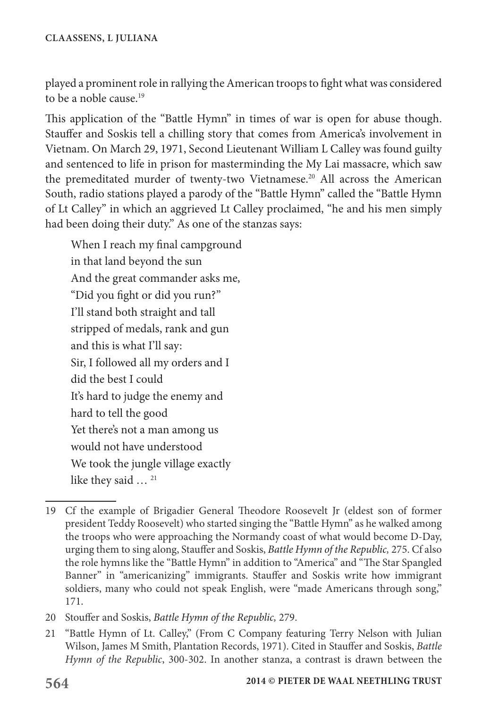played a prominent role in rallying the American troops to fight what was considered to be a noble cause.<sup>19</sup>

This application of the "Battle Hymn" in times of war is open for abuse though. Stauffer and Soskis tell a chilling story that comes from America's involvement in Vietnam. On March 29, 1971, Second Lieutenant William L Calley was found guilty and sentenced to life in prison for masterminding the My Lai massacre, which saw the premeditated murder of twenty-two Vietnamese.<sup>20</sup> All across the American South, radio stations played a parody of the "Battle Hymn" called the "Battle Hymn of Lt Calley" in which an aggrieved Lt Calley proclaimed, "he and his men simply had been doing their duty." As one of the stanzas says:

When I reach my final campground in that land beyond the sun And the great commander asks me, "Did you fight or did you run?" I'll stand both straight and tall stripped of medals, rank and gun and this is what I'll say: Sir, I followed all my orders and I did the best I could It's hard to judge the enemy and hard to tell the good Yet there's not a man among us would not have understood We took the jungle village exactly like they said ...<sup>21</sup>

<sup>19</sup> Cf the example of Brigadier General Theodore Roosevelt Jr (eldest son of former president Teddy Roosevelt) who started singing the "Battle Hymn" as he walked among the troops who were approaching the Normandy coast of what would become D-Day, urging them to sing along, Stauffer and Soskis, *Battle Hymn of the Republic,* 275. Cf also the role hymns like the "Battle Hymn" in addition to "America" and "The Star Spangled Banner" in "americanizing" immigrants. Stauffer and Soskis write how immigrant soldiers, many who could not speak English, were "made Americans through song," 171.

<sup>20</sup> Stouffer and Soskis, *Battle Hymn of the Republic,* 279.

<sup>21</sup> "Battle Hymn of Lt. Calley," (From C Company featuring Terry Nelson with Julian Wilson, James M Smith, Plantation Records, 1971). Cited in Stauffer and Soskis, *Battle Hymn of the Republic*, 300-302. In another stanza, a contrast is drawn between the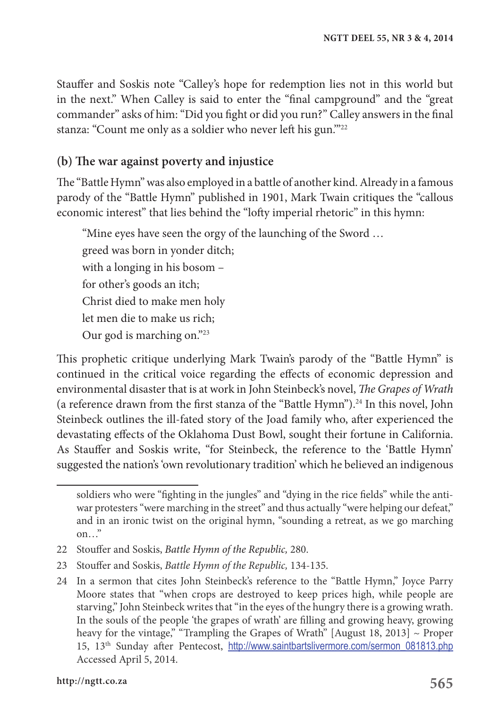Stauffer and Soskis note "Calley's hope for redemption lies not in this world but in the next." When Calley is said to enter the "final campground" and the "great commander" asks of him: "Did you fight or did you run?" Calley answers in the final stanza: "Count me only as a soldier who never left his gun."<sup>22</sup>

#### **(b) The war against poverty and injustice**

The "Battle Hymn" was also employed in a battle of another kind. Already in a famous parody of the "Battle Hymn" published in 1901, Mark Twain critiques the "callous economic interest" that lies behind the "lofty imperial rhetoric" in this hymn:

"Mine eyes have seen the orgy of the launching of the Sword … greed was born in yonder ditch; with a longing in his bosom – for other's goods an itch; Christ died to make men holy let men die to make us rich; Our god is marching on."23

This prophetic critique underlying Mark Twain's parody of the "Battle Hymn" is continued in the critical voice regarding the effects of economic depression and environmental disaster that is at work in John Steinbeck's novel, *The Grapes of Wrath* (a reference drawn from the first stanza of the "Battle Hymn").<sup>24</sup> In this novel, John Steinbeck outlines the ill-fated story of the Joad family who, after experienced the devastating effects of the Oklahoma Dust Bowl, sought their fortune in California. As Stauffer and Soskis write, "for Steinbeck, the reference to the 'Battle Hymn' suggested the nation's 'own revolutionary tradition' which he believed an indigenous

- 22 Stouffer and Soskis, *Battle Hymn of the Republic,* 280.
- 23 Stouffer and Soskis, *Battle Hymn of the Republic,* 134-135.

soldiers who were "fighting in the jungles" and "dying in the rice fields" while the antiwar protesters "were marching in the street" and thus actually "were helping our defeat," and in an ironic twist on the original hymn, "sounding a retreat, as we go marching on…"

<sup>24</sup> In a sermon that cites John Steinbeck's reference to the "Battle Hymn," Joyce Parry Moore states that "when crops are destroyed to keep prices high, while people are starving," John Steinbeck writes that "in the eyes of the hungry there is a growing wrath. In the souls of the people 'the grapes of wrath' are filling and growing heavy, growing heavy for the vintage," "Trampling the Grapes of Wrath" [August 18, 2013] ~ Proper 15, 13th Sunday after Pentecost, http://www.saintbartslivermore.com/sermon\_081813.php Accessed April 5, 2014.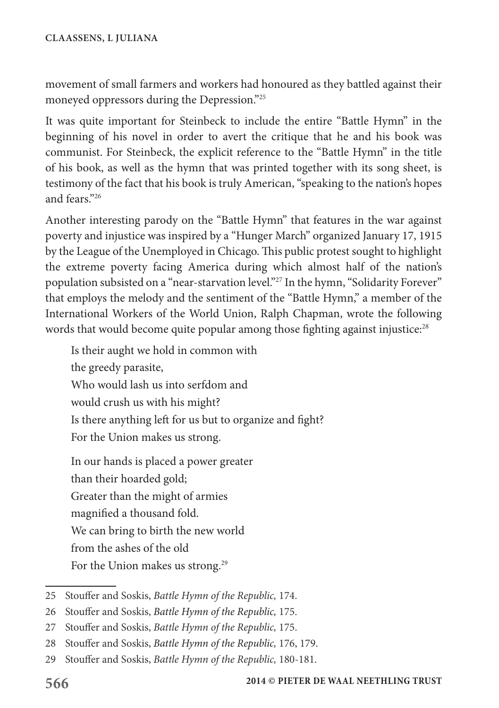movement of small farmers and workers had honoured as they battled against their moneyed oppressors during the Depression."25

It was quite important for Steinbeck to include the entire "Battle Hymn" in the beginning of his novel in order to avert the critique that he and his book was communist. For Steinbeck, the explicit reference to the "Battle Hymn" in the title of his book, as well as the hymn that was printed together with its song sheet, is testimony of the fact that his book is truly American, "speaking to the nation's hopes and fears."26

Another interesting parody on the "Battle Hymn" that features in the war against poverty and injustice was inspired by a "Hunger March" organized January 17, 1915 by the League of the Unemployed in Chicago. This public protest sought to highlight the extreme poverty facing America during which almost half of the nation's population subsisted on a "near-starvation level."27 In the hymn, "Solidarity Forever" that employs the melody and the sentiment of the "Battle Hymn," a member of the International Workers of the World Union, Ralph Chapman, wrote the following words that would become quite popular among those fighting against injustice:<sup>28</sup>

Is their aught we hold in common with the greedy parasite, Who would lash us into serfdom and would crush us with his might? Is there anything left for us but to organize and fight? For the Union makes us strong. In our hands is placed a power greater

than their hoarded gold; Greater than the might of armies magnified a thousand fold. We can bring to birth the new world from the ashes of the old For the Union makes us strong.<sup>29</sup>

<sup>25</sup> Stouffer and Soskis, *Battle Hymn of the Republic,* 174.

<sup>26</sup> Stouffer and Soskis, *Battle Hymn of the Republic,* 175.

<sup>27</sup> Stouffer and Soskis, *Battle Hymn of the Republic,* 175.

<sup>28</sup> Stouffer and Soskis, *Battle Hymn of the Republic,* 176, 179.

<sup>29</sup> Stouffer and Soskis, *Battle Hymn of the Republic,* 180-181.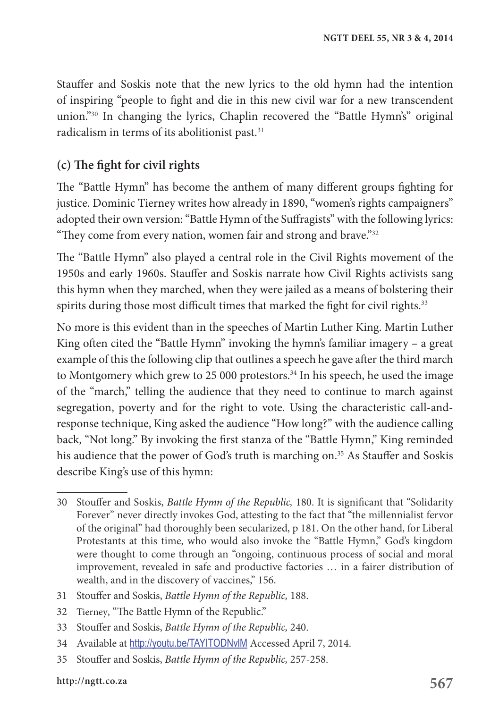Stauffer and Soskis note that the new lyrics to the old hymn had the intention of inspiring "people to fight and die in this new civil war for a new transcendent union."30 In changing the lyrics, Chaplin recovered the "Battle Hymn's" original radicalism in terms of its abolitionist past.<sup>31</sup>

### **(c) The fight for civil rights**

The "Battle Hymn" has become the anthem of many different groups fighting for justice. Dominic Tierney writes how already in 1890, "women's rights campaigners" adopted their own version: "Battle Hymn of the Suffragists" with the following lyrics: "They come from every nation, women fair and strong and brave."<sup>32</sup>

The "Battle Hymn" also played a central role in the Civil Rights movement of the 1950s and early 1960s. Stauffer and Soskis narrate how Civil Rights activists sang this hymn when they marched, when they were jailed as a means of bolstering their spirits during those most difficult times that marked the fight for civil rights.<sup>33</sup>

No more is this evident than in the speeches of Martin Luther King. Martin Luther King often cited the "Battle Hymn" invoking the hymn's familiar imagery – a great example of this the following clip that outlines a speech he gave after the third march to Montgomery which grew to 25 000 protestors.<sup>34</sup> In his speech, he used the image of the "march," telling the audience that they need to continue to march against segregation, poverty and for the right to vote. Using the characteristic call-andresponse technique, King asked the audience "How long?" with the audience calling back, "Not long." By invoking the first stanza of the "Battle Hymn," King reminded his audience that the power of God's truth is marching on.<sup>35</sup> As Stauffer and Soskis describe King's use of this hymn:

- 31 Stouffer and Soskis, *Battle Hymn of the Republic,* 188.
- 32 Tierney, "The Battle Hymn of the Republic."
- 33 Stouffer and Soskis, *Battle Hymn of the Republic,* 240.
- 34 Available at http://youtu.be/TAYITODNvlM Accessed April 7, 2014.
- 35 Stouffer and Soskis, *Battle Hymn of the Republic,* 257-258.

<sup>30</sup> Stouffer and Soskis, *Battle Hymn of the Republic,* 180. It is significant that "Solidarity Forever" never directly invokes God, attesting to the fact that "the millennialist fervor of the original" had thoroughly been secularized, p 181. On the other hand, for Liberal Protestants at this time, who would also invoke the "Battle Hymn," God's kingdom were thought to come through an "ongoing, continuous process of social and moral improvement, revealed in safe and productive factories … in a fairer distribution of wealth, and in the discovery of vaccines," 156.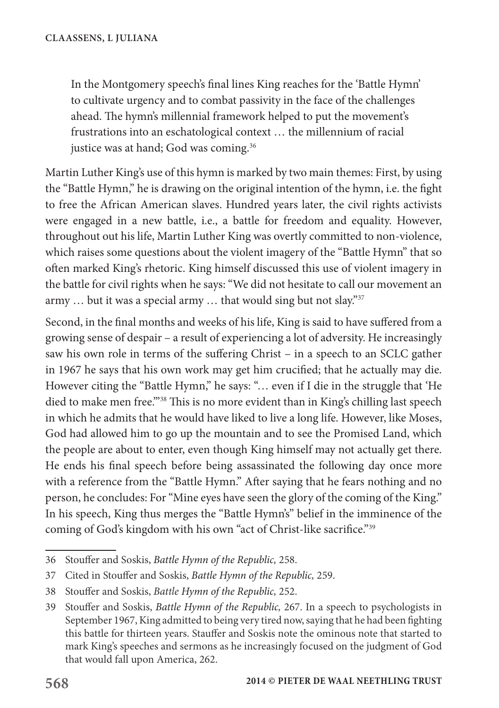In the Montgomery speech's final lines King reaches for the 'Battle Hymn' to cultivate urgency and to combat passivity in the face of the challenges ahead. The hymn's millennial framework helped to put the movement's frustrations into an eschatological context … the millennium of racial justice was at hand; God was coming.36

Martin Luther King's use of this hymn is marked by two main themes: First, by using the "Battle Hymn," he is drawing on the original intention of the hymn, i.e. the fight to free the African American slaves. Hundred years later, the civil rights activists were engaged in a new battle, i.e., a battle for freedom and equality. However, throughout out his life, Martin Luther King was overtly committed to non-violence, which raises some questions about the violent imagery of the "Battle Hymn" that so often marked King's rhetoric. King himself discussed this use of violent imagery in the battle for civil rights when he says: "We did not hesitate to call our movement an army ... but it was a special army ... that would sing but not slay."37

Second, in the final months and weeks of his life, King is said to have suffered from a growing sense of despair – a result of experiencing a lot of adversity. He increasingly saw his own role in terms of the suffering Christ – in a speech to an SCLC gather in 1967 he says that his own work may get him crucified; that he actually may die. However citing the "Battle Hymn," he says: "… even if I die in the struggle that 'He died to make men free.'"38 This is no more evident than in King's chilling last speech in which he admits that he would have liked to live a long life. However, like Moses, God had allowed him to go up the mountain and to see the Promised Land, which the people are about to enter, even though King himself may not actually get there. He ends his final speech before being assassinated the following day once more with a reference from the "Battle Hymn." After saying that he fears nothing and no person, he concludes: For "Mine eyes have seen the glory of the coming of the King." In his speech, King thus merges the "Battle Hymn's" belief in the imminence of the coming of God's kingdom with his own "act of Christ-like sacrifice."39

<sup>36</sup> Stouffer and Soskis, *Battle Hymn of the Republic,* 258.

<sup>37</sup> Cited in Stouffer and Soskis, *Battle Hymn of the Republic,* 259.

<sup>38</sup> Stouffer and Soskis, *Battle Hymn of the Republic,* 252.

<sup>39</sup> Stouffer and Soskis, *Battle Hymn of the Republic,* 267. In a speech to psychologists in September 1967, King admitted to being very tired now, saying that he had been fighting this battle for thirteen years. Stauffer and Soskis note the ominous note that started to mark King's speeches and sermons as he increasingly focused on the judgment of God that would fall upon America, 262.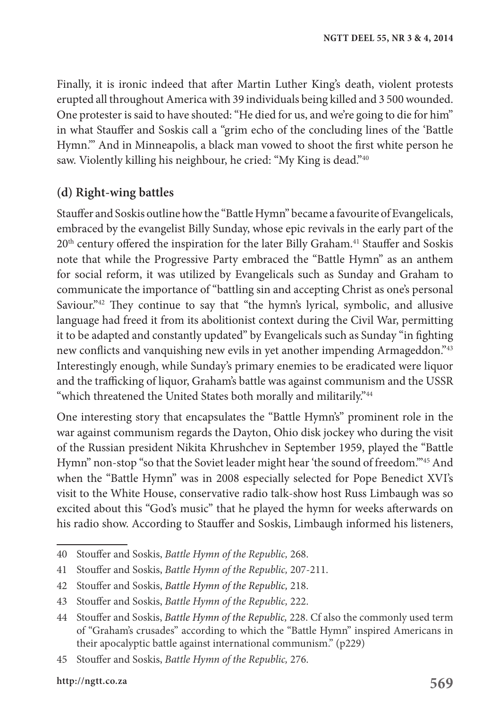Finally, it is ironic indeed that after Martin Luther King's death, violent protests erupted all throughout America with 39 individuals being killed and 3 500 wounded. One protester is said to have shouted: "He died for us, and we're going to die for him" in what Stauffer and Soskis call a "grim echo of the concluding lines of the 'Battle Hymn.'" And in Minneapolis, a black man vowed to shoot the first white person he saw. Violently killing his neighbour, he cried: "My King is dead."40

#### **(d) Right-wing battles**

Stauffer and Soskis outline how the "Battle Hymn" became a favourite of Evangelicals, embraced by the evangelist Billy Sunday, whose epic revivals in the early part of the 20<sup>th</sup> century offered the inspiration for the later Billy Graham.<sup>41</sup> Stauffer and Soskis note that while the Progressive Party embraced the "Battle Hymn" as an anthem for social reform, it was utilized by Evangelicals such as Sunday and Graham to communicate the importance of "battling sin and accepting Christ as one's personal Saviour."<sup>42</sup> They continue to say that "the hymn's lyrical, symbolic, and allusive language had freed it from its abolitionist context during the Civil War, permitting it to be adapted and constantly updated" by Evangelicals such as Sunday "in fighting new conflicts and vanquishing new evils in yet another impending Armageddon."43 Interestingly enough, while Sunday's primary enemies to be eradicated were liquor and the trafficking of liquor, Graham's battle was against communism and the USSR "which threatened the United States both morally and militarily."<sup>44</sup>

One interesting story that encapsulates the "Battle Hymn's" prominent role in the war against communism regards the Dayton, Ohio disk jockey who during the visit of the Russian president Nikita Khrushchev in September 1959, played the "Battle Hymn" non-stop "so that the Soviet leader might hear 'the sound of freedom.'"45 And when the "Battle Hymn" was in 2008 especially selected for Pope Benedict XVI's visit to the White House, conservative radio talk-show host Russ Limbaugh was so excited about this "God's music" that he played the hymn for weeks afterwards on his radio show. According to Stauffer and Soskis, Limbaugh informed his listeners,

<sup>40</sup> Stouffer and Soskis, *Battle Hymn of the Republic,* 268.

<sup>41</sup> Stouffer and Soskis, *Battle Hymn of the Republic,* 207-211.

<sup>42</sup> Stouffer and Soskis, *Battle Hymn of the Republic,* 218.

<sup>43</sup> Stouffer and Soskis, *Battle Hymn of the Republic,* 222.

<sup>44</sup> Stouffer and Soskis, *Battle Hymn of the Republic,* 228. Cf also the commonly used term of "Graham's crusades" according to which the "Battle Hymn" inspired Americans in their apocalyptic battle against international communism." (p229)

<sup>45</sup> Stouffer and Soskis, *Battle Hymn of the Republic,* 276.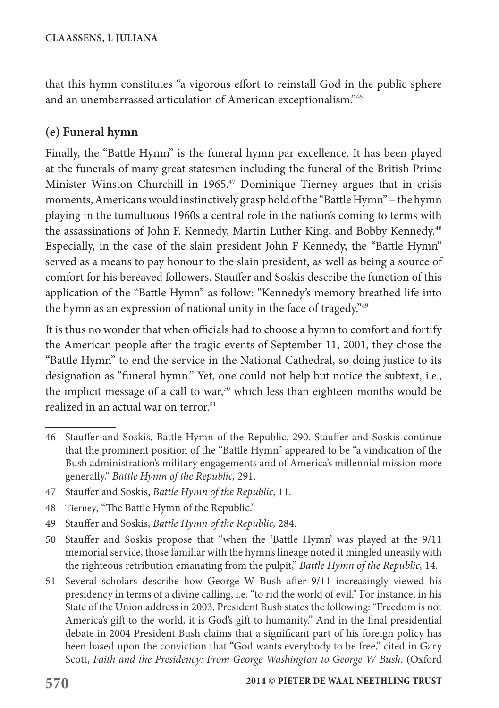that this hymn constitutes "a vigorous effort to reinstall God in the public sphere and an unembarrassed articulation of American exceptionalism."46

## **(e) Funeral hymn**

Finally, the "Battle Hymn" is the funeral hymn par excellence. It has been played at the funerals of many great statesmen including the funeral of the British Prime Minister Winston Churchill in 1965.47 Dominique Tierney argues that in crisis moments, Americans would instinctively grasp hold of the "Battle Hymn" – the hymn playing in the tumultuous 1960s a central role in the nation's coming to terms with the assassinations of John F. Kennedy, Martin Luther King, and Bobby Kennedy.<sup>48</sup> Especially, in the case of the slain president John F Kennedy, the "Battle Hymn" served as a means to pay honour to the slain president, as well as being a source of comfort for his bereaved followers. Stauffer and Soskis describe the function of this application of the "Battle Hymn" as follow: "Kennedy's memory breathed life into the hymn as an expression of national unity in the face of tragedy."<sup>49</sup>

It is thus no wonder that when officials had to choose a hymn to comfort and fortify the American people after the tragic events of September 11, 2001, they chose the "Battle Hymn" to end the service in the National Cathedral, so doing justice to its designation as "funeral hymn." Yet, one could not help but notice the subtext, i.e., the implicit message of a call to war,<sup>50</sup> which less than eighteen months would be realized in an actual war on terror.<sup>51</sup>

- 49 Stauffer and Soskis, *Battle Hymn of the Republic,* 284.
- 50 Stauffer and Soskis propose that "when the 'Battle Hymn' was played at the 9/11 memorial service, those familiar with the hymn's lineage noted it mingled uneasily with the righteous retribution emanating from the pulpit," *Battle Hymn of the Republic,* 14.
- 51 Several scholars describe how George W Bush after 9/11 increasingly viewed his presidency in terms of a divine calling, i.e. "to rid the world of evil." For instance, in his State of the Union address in 2003, President Bush states the following: "Freedom is not America's gift to the world, it is God's gift to humanity." And in the final presidential debate in 2004 President Bush claims that a significant part of his foreign policy has been based upon the conviction that "God wants everybody to be free," cited in Gary Scott, *Faith and the Presidency: From George Washington to George W Bush.* (Oxford

<sup>46</sup> Stauffer and Soskis, Battle Hymn of the Republic, 290. Stauffer and Soskis continue that the prominent position of the "Battle Hymn" appeared to be "a vindication of the Bush administration's military engagements and of America's millennial mission more generally," *Battle Hymn of the Republic,* 291.

<sup>47</sup> Stauffer and Soskis, *Battle Hymn of the Republic,* 11.

<sup>48</sup> Tierney, "The Battle Hymn of the Republic."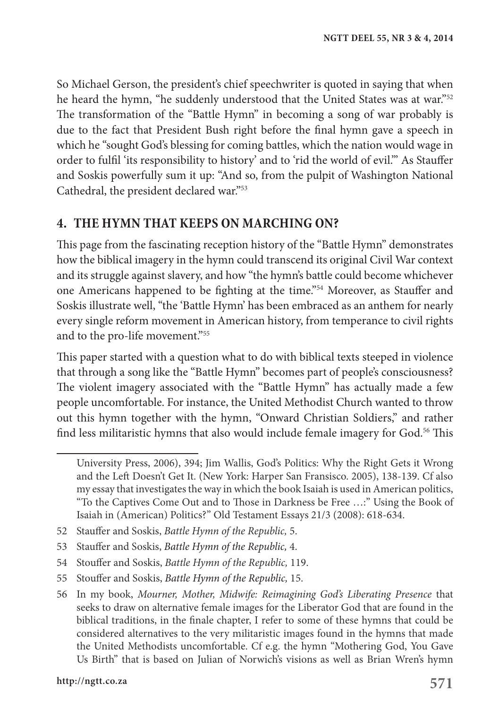So Michael Gerson, the president's chief speechwriter is quoted in saying that when he heard the hymn, "he suddenly understood that the United States was at war."52 The transformation of the "Battle Hymn" in becoming a song of war probably is due to the fact that President Bush right before the final hymn gave a speech in which he "sought God's blessing for coming battles, which the nation would wage in order to fulfil 'its responsibility to history' and to 'rid the world of evil.'" As Stauffer and Soskis powerfully sum it up: "And so, from the pulpit of Washington National Cathedral, the president declared war."53

### **4. THE HYMN THAT KEEPS ON MARCHING ON?**

This page from the fascinating reception history of the "Battle Hymn" demonstrates how the biblical imagery in the hymn could transcend its original Civil War context and its struggle against slavery, and how "the hymn's battle could become whichever one Americans happened to be fighting at the time."54 Moreover, as Stauffer and Soskis illustrate well, "the 'Battle Hymn' has been embraced as an anthem for nearly every single reform movement in American history, from temperance to civil rights and to the pro-life movement."55

This paper started with a question what to do with biblical texts steeped in violence that through a song like the "Battle Hymn" becomes part of people's consciousness? The violent imagery associated with the "Battle Hymn" has actually made a few people uncomfortable. For instance, the United Methodist Church wanted to throw out this hymn together with the hymn, "Onward Christian Soldiers," and rather find less militaristic hymns that also would include female imagery for God.<sup>56</sup> This

52 Stauffer and Soskis, *Battle Hymn of the Republic,* 5.

54 Stouffer and Soskis, *Battle Hymn of the Republic,* 119.

University Press, 2006), 394; Jim Wallis, God's Politics: Why the Right Gets it Wrong and the Left Doesn't Get It. (New York: Harper San Fransisco. 2005), 138-139. Cf also my essay that investigates the way in which the book Isaiah is used in American politics, "To the Captives Come Out and to Those in Darkness be Free …:" Using the Book of Isaiah in (American) Politics?" Old Testament Essays 21/3 (2008): 618-634.

<sup>53</sup> Stauffer and Soskis, *Battle Hymn of the Republic,* 4.

<sup>55</sup> Stouffer and Soskis, *Battle Hymn of the Republic,* 15.

<sup>56</sup> In my book, *Mourner, Mother, Midwife: Reimagining God's Liberating Presence* that seeks to draw on alternative female images for the Liberator God that are found in the biblical traditions, in the finale chapter, I refer to some of these hymns that could be considered alternatives to the very militaristic images found in the hymns that made the United Methodists uncomfortable. Cf e.g. the hymn "Mothering God, You Gave Us Birth" that is based on Julian of Norwich's visions as well as Brian Wren's hymn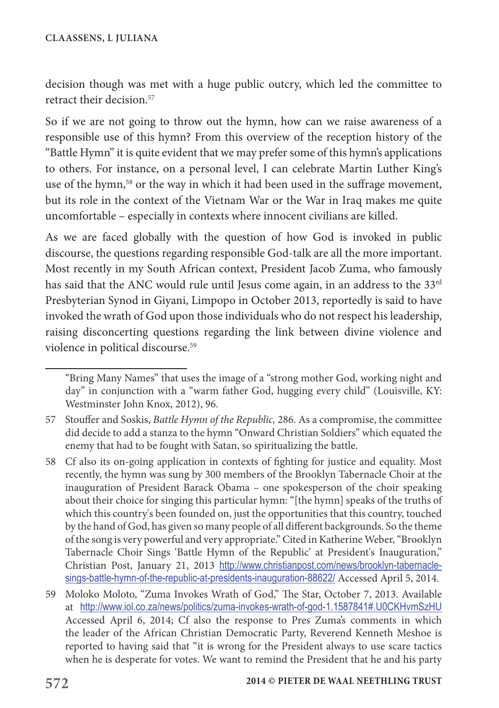decision though was met with a huge public outcry, which led the committee to retract their decision<sup>57</sup>

So if we are not going to throw out the hymn, how can we raise awareness of a responsible use of this hymn? From this overview of the reception history of the "Battle Hymn" it is quite evident that we may prefer some of this hymn's applications to others. For instance, on a personal level, I can celebrate Martin Luther King's use of the hymn,<sup>58</sup> or the way in which it had been used in the suffrage movement, but its role in the context of the Vietnam War or the War in Iraq makes me quite uncomfortable – especially in contexts where innocent civilians are killed.

As we are faced globally with the question of how God is invoked in public discourse, the questions regarding responsible God-talk are all the more important. Most recently in my South African context, President Jacob Zuma, who famously has said that the ANC would rule until Jesus come again, in an address to the 33<sup>rd</sup> Presbyterian Synod in Giyani, Limpopo in October 2013, reportedly is said to have invoked the wrath of God upon those individuals who do not respect his leadership, raising disconcerting questions regarding the link between divine violence and violence in political discourse.59

<sup>&</sup>quot;Bring Many Names" that uses the image of a "strong mother God, working night and day" in conjunction with a "warm father God, hugging every child" (Louisville, KY: Westminster John Knox, 2012), 96.

<sup>57</sup> Stouffer and Soskis, *Battle Hymn of the Republic,* 286. As a compromise, the committee did decide to add a stanza to the hymn "Onward Christian Soldiers" which equated the enemy that had to be fought with Satan, so spiritualizing the battle.

<sup>58</sup> Cf also its on-going application in contexts of fighting for justice and equality. Most recently, the hymn was sung by 300 members of the Brooklyn Tabernacle Choir at the inauguration of President Barack Obama – one spokesperson of the choir speaking about their choice for singing this particular hymn: "[the hymn] speaks of the truths of which this country's been founded on, just the opportunities that this country, touched by the hand of God, has given so many people of all different backgrounds. So the theme of the song is very powerful and very appropriate." Cited in Katherine Weber, "Brooklyn Tabernacle Choir Sings 'Battle Hymn of the Republic' at President's Inauguration," Christian Post, January 21, 2013 http://www.christianpost.com/news/brooklyn-tabernaclesings-battle-hymn-of-the-republic-at-presidents-inauguration-88622/ Accessed April 5, 2014.

<sup>59</sup> Moloko Moloto, "Zuma Invokes Wrath of God," The Star, October 7, 2013. Available at http://www.iol.co.za/news/politics/zuma-invokes-wrath-of-god-1.1587841#.U0CKHvmSzHU Accessed April 6, 2014; Cf also the response to Pres Zuma's comments in which the leader of the African Christian Democratic Party, Reverend Kenneth Meshoe is reported to having said that "it is wrong for the President always to use scare tactics when he is desperate for votes. We want to remind the President that he and his party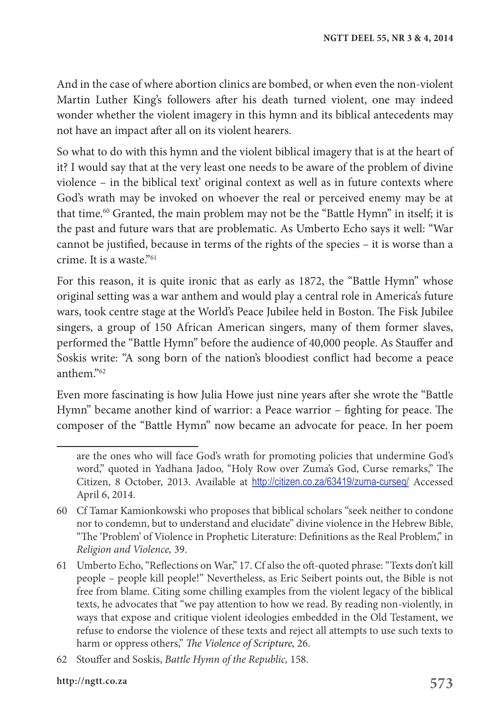And in the case of where abortion clinics are bombed, or when even the non-violent Martin Luther King's followers after his death turned violent, one may indeed wonder whether the violent imagery in this hymn and its biblical antecedents may not have an impact after all on its violent hearers.

So what to do with this hymn and the violent biblical imagery that is at the heart of it? I would say that at the very least one needs to be aware of the problem of divine violence – in the biblical text' original context as well as in future contexts where God's wrath may be invoked on whoever the real or perceived enemy may be at that time.60 Granted, the main problem may not be the "Battle Hymn" in itself; it is the past and future wars that are problematic. As Umberto Echo says it well: "War cannot be justified, because in terms of the rights of the species – it is worse than a crime. It is a waste."61

For this reason, it is quite ironic that as early as 1872, the "Battle Hymn" whose original setting was a war anthem and would play a central role in America's future wars, took centre stage at the World's Peace Jubilee held in Boston. The Fisk Jubilee singers, a group of 150 African American singers, many of them former slaves, performed the "Battle Hymn" before the audience of 40,000 people. As Stauffer and Soskis write: "A song born of the nation's bloodiest conflict had become a peace anthem."62

Even more fascinating is how Julia Howe just nine years after she wrote the "Battle Hymn" became another kind of warrior: a Peace warrior – fighting for peace. The composer of the "Battle Hymn" now became an advocate for peace. In her poem

are the ones who will face God's wrath for promoting policies that undermine God's word," quoted in Yadhana Jadoo, "Holy Row over Zuma's God, Curse remarks," The Citizen, 8 October, 2013. Available at http://citizen.co.za/63419/zuma-curseq/ Accessed April 6, 2014.

<sup>60</sup> Cf Tamar Kamionkowski who proposes that biblical scholars "seek neither to condone nor to condemn, but to understand and elucidate" divine violence in the Hebrew Bible, "The 'Problem' of Violence in Prophetic Literature: Definitions as the Real Problem," in *Religion and Violence,* 39.

<sup>61</sup> Umberto Echo, "Reflections on War," 17. Cf also the oft-quoted phrase: "Texts don't kill people – people kill people!" Nevertheless, as Eric Seibert points out, the Bible is not free from blame. Citing some chilling examples from the violent legacy of the biblical texts, he advocates that "we pay attention to how we read. By reading non-violently, in ways that expose and critique violent ideologies embedded in the Old Testament, we refuse to endorse the violence of these texts and reject all attempts to use such texts to harm or oppress others," *The Violence of Scripture,* 26.

<sup>62</sup> Stouffer and Soskis, *Battle Hymn of the Republic,* 158.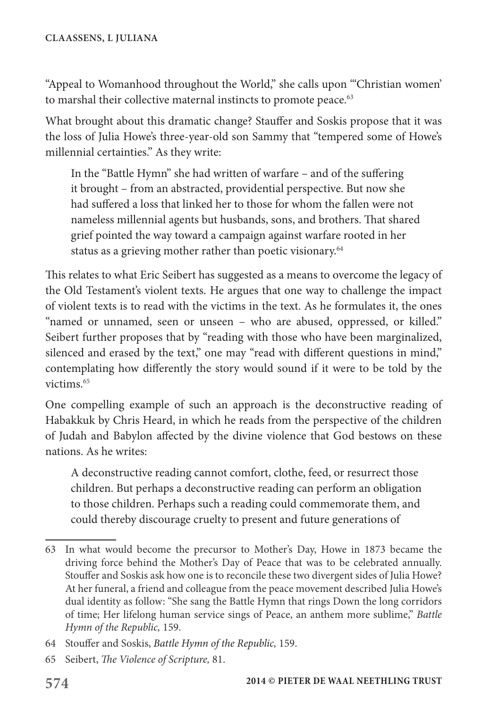"Appeal to Womanhood throughout the World," she calls upon "'Christian women' to marshal their collective maternal instincts to promote peace.<sup>63</sup>

What brought about this dramatic change? Stauffer and Soskis propose that it was the loss of Julia Howe's three-year-old son Sammy that "tempered some of Howe's millennial certainties." As they write:

In the "Battle Hymn" she had written of warfare – and of the suffering it brought – from an abstracted, providential perspective. But now she had suffered a loss that linked her to those for whom the fallen were not nameless millennial agents but husbands, sons, and brothers. That shared grief pointed the way toward a campaign against warfare rooted in her status as a grieving mother rather than poetic visionary.<sup>64</sup>

This relates to what Eric Seibert has suggested as a means to overcome the legacy of the Old Testament's violent texts. He argues that one way to challenge the impact of violent texts is to read with the victims in the text. As he formulates it, the ones "named or unnamed, seen or unseen – who are abused, oppressed, or killed." Seibert further proposes that by "reading with those who have been marginalized, silenced and erased by the text," one may "read with different questions in mind," contemplating how differently the story would sound if it were to be told by the victims<sup>65</sup>

One compelling example of such an approach is the deconstructive reading of Habakkuk by Chris Heard, in which he reads from the perspective of the children of Judah and Babylon affected by the divine violence that God bestows on these nations. As he writes:

A deconstructive reading cannot comfort, clothe, feed, or resurrect those children. But perhaps a deconstructive reading can perform an obligation to those children. Perhaps such a reading could commemorate them, and could thereby discourage cruelty to present and future generations of

<sup>63</sup> In what would become the precursor to Mother's Day, Howe in 1873 became the driving force behind the Mother's Day of Peace that was to be celebrated annually. Stouffer and Soskis ask how one is to reconcile these two divergent sides of Julia Howe? At her funeral, a friend and colleague from the peace movement described Julia Howe's dual identity as follow: "She sang the Battle Hymn that rings Down the long corridors of time; Her lifelong human service sings of Peace, an anthem more sublime," *Battle Hymn of the Republic,* 159.

<sup>64</sup> Stouffer and Soskis, *Battle Hymn of the Republic,* 159.

<sup>65</sup> Seibert, *The Violence of Scripture,* 81.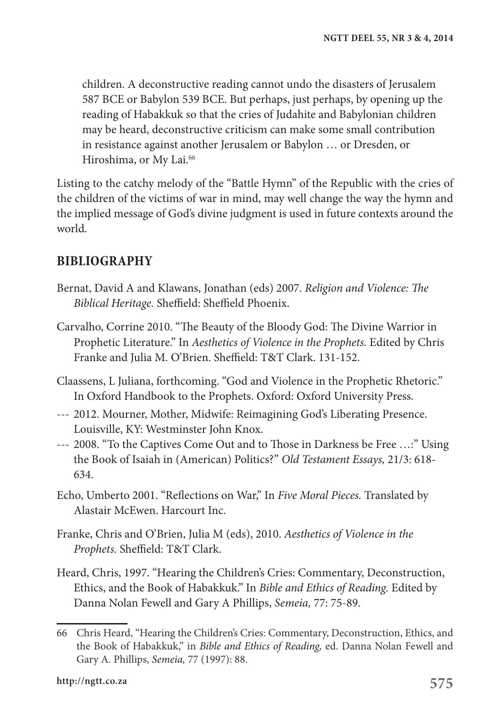children. A deconstructive reading cannot undo the disasters of Jerusalem 587 BCE or Babylon 539 BCE. But perhaps, just perhaps, by opening up the reading of Habakkuk so that the cries of Judahite and Babylonian children may be heard, deconstructive criticism can make some small contribution in resistance against another Jerusalem or Babylon … or Dresden, or Hiroshima, or My Lai.<sup>66</sup>

Listing to the catchy melody of the "Battle Hymn" of the Republic with the cries of the children of the victims of war in mind, may well change the way the hymn and the implied message of God's divine judgment is used in future contexts around the world.

### **BIBLIOGRAPHY**

- Bernat, David A and Klawans, Jonathan (eds) 2007. *Religion and Violence: The Biblical Heritage.* Sheffield: Sheffield Phoenix.
- Carvalho, Corrine 2010. "The Beauty of the Bloody God: The Divine Warrior in Prophetic Literature." In *Aesthetics of Violence in the Prophets.* Edited by Chris Franke and Julia M. O'Brien. Sheffield: T&T Clark. 131-152.
- Claassens, L Juliana, forthcoming. "God and Violence in the Prophetic Rhetoric." In Oxford Handbook to the Prophets. Oxford: Oxford University Press.
- --- 2012. Mourner, Mother, Midwife: Reimagining God's Liberating Presence. Louisville, KY: Westminster John Knox.
- --- 2008. "To the Captives Come Out and to Those in Darkness be Free …:" Using the Book of Isaiah in (American) Politics?" *Old Testament Essays,* 21/3: 618- 634.
- Echo, Umberto 2001. "Reflections on War," In *Five Moral Pieces.* Translated by Alastair McEwen. Harcourt Inc.
- Franke, Chris and O'Brien, Julia M (eds), 2010. *Aesthetics of Violence in the Prophets.* Sheffield: T&T Clark.
- Heard, Chris, 1997. "Hearing the Children's Cries: Commentary, Deconstruction, Ethics, and the Book of Habakkuk." In *Bible and Ethics of Reading.* Edited by Danna Nolan Fewell and Gary A Phillips, *Semeia,* 77: 75-89.

<sup>66</sup> Chris Heard, "Hearing the Children's Cries: Commentary, Deconstruction, Ethics, and the Book of Habakkuk," in *Bible and Ethics of Reading,* ed. Danna Nolan Fewell and Gary A. Phillips, *Semeia,* 77 (1997): 88.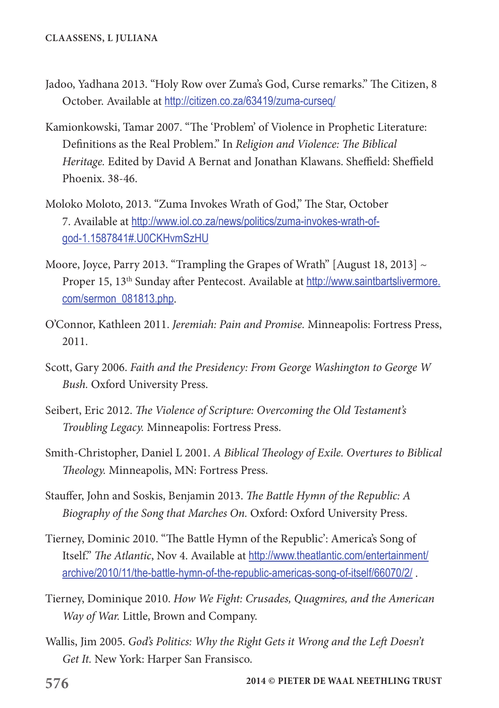- Jadoo, Yadhana 2013. "Holy Row over Zuma's God, Curse remarks." The Citizen, 8 October. Available at http://citizen.co.za/63419/zuma-curseq/
- Kamionkowski, Tamar 2007. "The 'Problem' of Violence in Prophetic Literature: Definitions as the Real Problem." In *Religion and Violence: The Biblical Heritage.* Edited by David A Bernat and Jonathan Klawans. Sheffield: Sheffield Phoenix. 38-46.
- Moloko Moloto, 2013. "Zuma Invokes Wrath of God," The Star, October 7. Available at http://www.iol.co.za/news/politics/zuma-invokes-wrath-ofgod-1.1587841#.U0CKHvmSzHU
- Moore, Joyce, Parry 2013. "Trampling the Grapes of Wrath" [August 18, 2013]  $\sim$ Proper 15, 13<sup>th</sup> Sunday after Pentecost. Available at http://www.saintbartslivermore. com/sermon\_081813.php.
- O'Connor, Kathleen 2011. *Jeremiah: Pain and Promise.* Minneapolis: Fortress Press, 2011.
- Scott, Gary 2006. *Faith and the Presidency: From George Washington to George W Bush.* Oxford University Press.
- Seibert, Eric 2012. *The Violence of Scripture: Overcoming the Old Testament's Troubling Legacy.* Minneapolis: Fortress Press.
- Smith-Christopher, Daniel L 2001. *A Biblical Theology of Exile. Overtures to Biblical Theology.* Minneapolis, MN: Fortress Press.
- Stauffer, John and Soskis, Benjamin 2013. *The Battle Hymn of the Republic: A Biography of the Song that Marches On.* Oxford: Oxford University Press.
- Tierney, Dominic 2010. "The Battle Hymn of the Republic': America's Song of Itself." *The Atlantic*, Nov 4. Available at http://www.theatlantic.com/entertainment/ archive/2010/11/the-battle-hymn-of-the-republic-americas-song-of-itself/66070/2/ .
- Tierney, Dominique 2010. *How We Fight: Crusades, Quagmires, and the American Way of War.* Little, Brown and Company.
- Wallis, Jim 2005. *God's Politics: Why the Right Gets it Wrong and the Left Doesn't Get It.* New York: Harper San Fransisco.